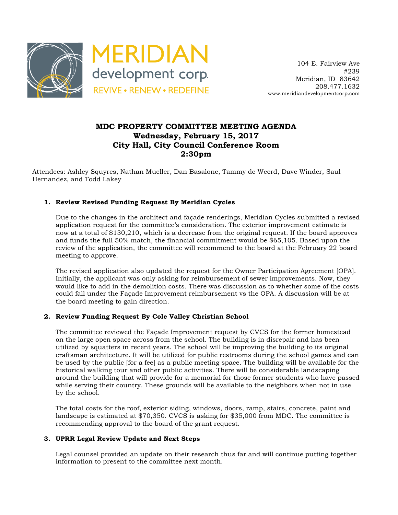

 104 E. Fairview Ave #239 Meridian, ID 83642 208.477.1632 www.meridiandevelopmentcorp.com

## **MDC PROPERTY COMMITTEE MEETING AGENDA Wednesday, February 15, 2017 City Hall, City Council Conference Room 2:30pm**

Attendees: Ashley Squyres, Nathan Mueller, Dan Basalone, Tammy de Weerd, Dave Winder, Saul Hernandez, and Todd Lakey

### **1. Review Revised Funding Request By Meridian Cycles**

Due to the changes in the architect and façade renderings, Meridian Cycles submitted a revised application request for the committee's consideration. The exterior improvement estimate is now at a total of \$130,210, which is a decrease from the original request. If the board approves and funds the full 50% match, the financial commitment would be \$65,105. Based upon the review of the application, the committee will recommend to the board at the February 22 board meeting to approve.

The revised application also updated the request for the Owner Participation Agreement [OPA]. Initially, the applicant was only asking for reimbursement of sewer improvements. Now, they would like to add in the demolition costs. There was discussion as to whether some of the costs could fall under the Façade Improvement reimbursement vs the OPA. A discussion will be at the board meeting to gain direction.

### **2. Review Funding Request By Cole Valley Christian School**

The committee reviewed the Façade Improvement request by CVCS for the former homestead on the large open space across from the school. The building is in disrepair and has been utilized by squatters in recent years. The school will be improving the building to its original craftsman architecture. It will be utilized for public restrooms during the school games and can be used by the public [for a fee] as a public meeting space. The building will be available for the historical walking tour and other public activities. There will be considerable landscaping around the building that will provide for a memorial for those former students who have passed while serving their country. These grounds will be available to the neighbors when not in use by the school.

The total costs for the roof, exterior siding, windows, doors, ramp, stairs, concrete, paint and landscape is estimated at \$70,350. CVCS is asking for \$35,000 from MDC. The committee is recommending approval to the board of the grant request.

#### **3. UPRR Legal Review Update and Next Steps**

Legal counsel provided an update on their research thus far and will continue putting together information to present to the committee next month.